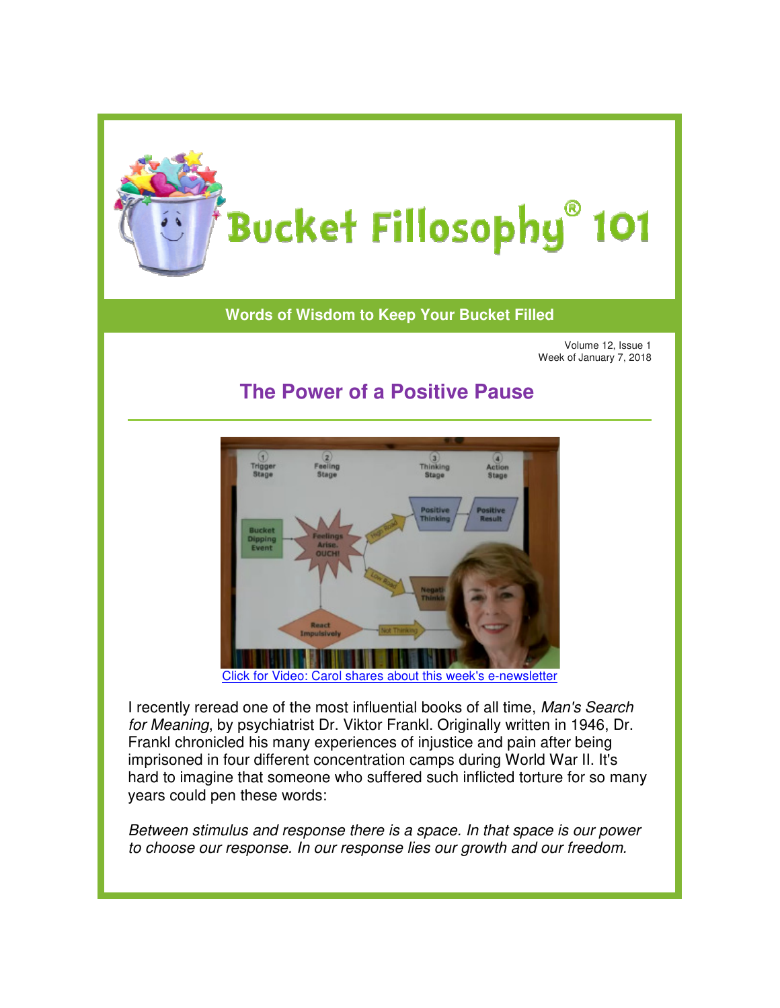

## **Words of Wisdom to Keep Your Bucket Filled of Wisdom to**

Volume 12, Issue 1 Week of January 7, 2018

## **The Power of a Positive Pause a Positive**



[Click for Video: Carol shares about this week](https://youtu.be/NfNfcLilwtQ)'s e-newsletter

I recently reread one of the most influential books of all time, Man's Search for Meaning, by psychiatrist Dr. Viktor Frankl. Originally written in 1946, Dr. Frankl chronicled his many experiences of injustice and pain after being Frankl chronicled his many experiences of injustice and pain after being<br>imprisoned in four different concentration camps during World War II. It's hard to imagine that someone who suffered such inflicted torture for so many years could pen these words:

Between stimulus and response there is a space. In that space is our power to choose our response. In our response lies our growth and our freedom.